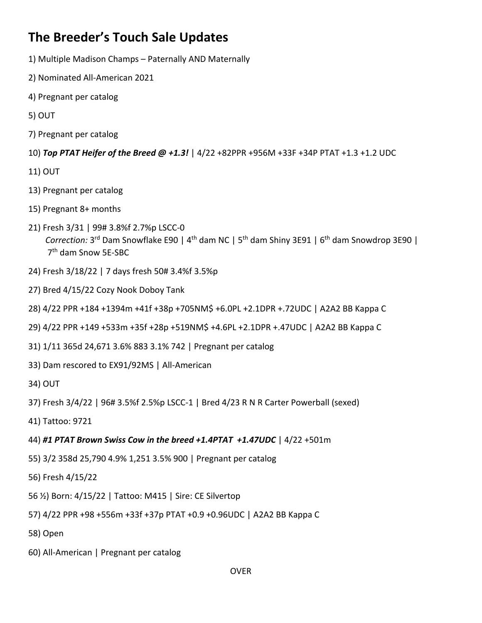## **The Breeder's Touch Sale Updates**

- 1) Multiple Madison Champs Paternally AND Maternally
- 2) Nominated All-American 2021
- 4) Pregnant per catalog
- 5) OUT
- 7) Pregnant per catalog
- 10) *Top PTAT Heifer of the Breed @ +1.3!* | 4/22 +82PPR +956M +33F +34P PTAT +1.3 +1.2 UDC
- 11) OUT
- 13) Pregnant per catalog
- 15) Pregnant 8+ months
- 21) Fresh 3/31 | 99# 3.8%f 2.7%p LSCC-0  *Correction:* 3rd Dam Snowflake E90 | 4th dam NC | 5th dam Shiny 3E91 | 6th dam Snowdrop 3E90 | 7th dam Snow 5E-SBC
- 24) Fresh 3/18/22 | 7 days fresh 50# 3.4%f 3.5%p
- 27) Bred 4/15/22 Cozy Nook Doboy Tank
- 28) 4/22 PPR +184 +1394m +41f +38p +705NM\$ +6.0PL +2.1DPR +.72UDC | A2A2 BB Kappa C
- 29) 4/22 PPR +149 +533m +35f +28p +519NM\$ +4.6PL +2.1DPR +.47UDC | A2A2 BB Kappa C
- 31) 1/11 365d 24,671 3.6% 883 3.1% 742 | Pregnant per catalog
- 33) Dam rescored to EX91/92MS | All-American
- 34) OUT
- 37) Fresh 3/4/22 | 96# 3.5%f 2.5%p LSCC-1 | Bred 4/23 R N R Carter Powerball (sexed)
- 41) Tattoo: 9721
- 44) *#1 PTAT Brown Swiss Cow in the breed +1.4PTAT +1.47UDC* | 4/22 +501m
- 55) 3/2 358d 25,790 4.9% 1,251 3.5% 900 | Pregnant per catalog
- 56) Fresh 4/15/22
- 56 ½) Born: 4/15/22 | Tattoo: M415 | Sire: CE Silvertop
- 57) 4/22 PPR +98 +556m +33f +37p PTAT +0.9 +0.96UDC | A2A2 BB Kappa C
- 58) Open
- 60) All-American | Pregnant per catalog